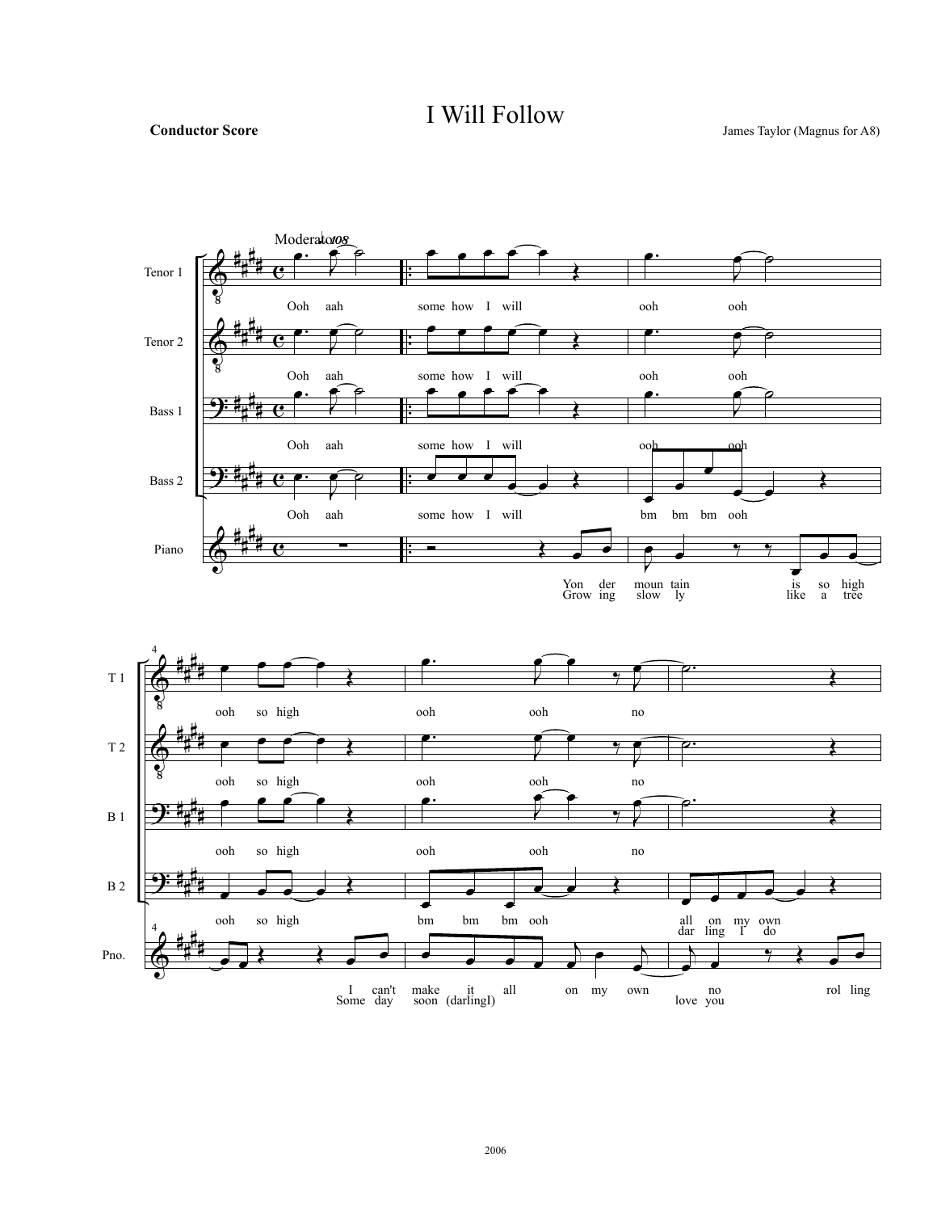## I Will Follow

## **Conductor Score**

James Taylor (Magnus for A8)

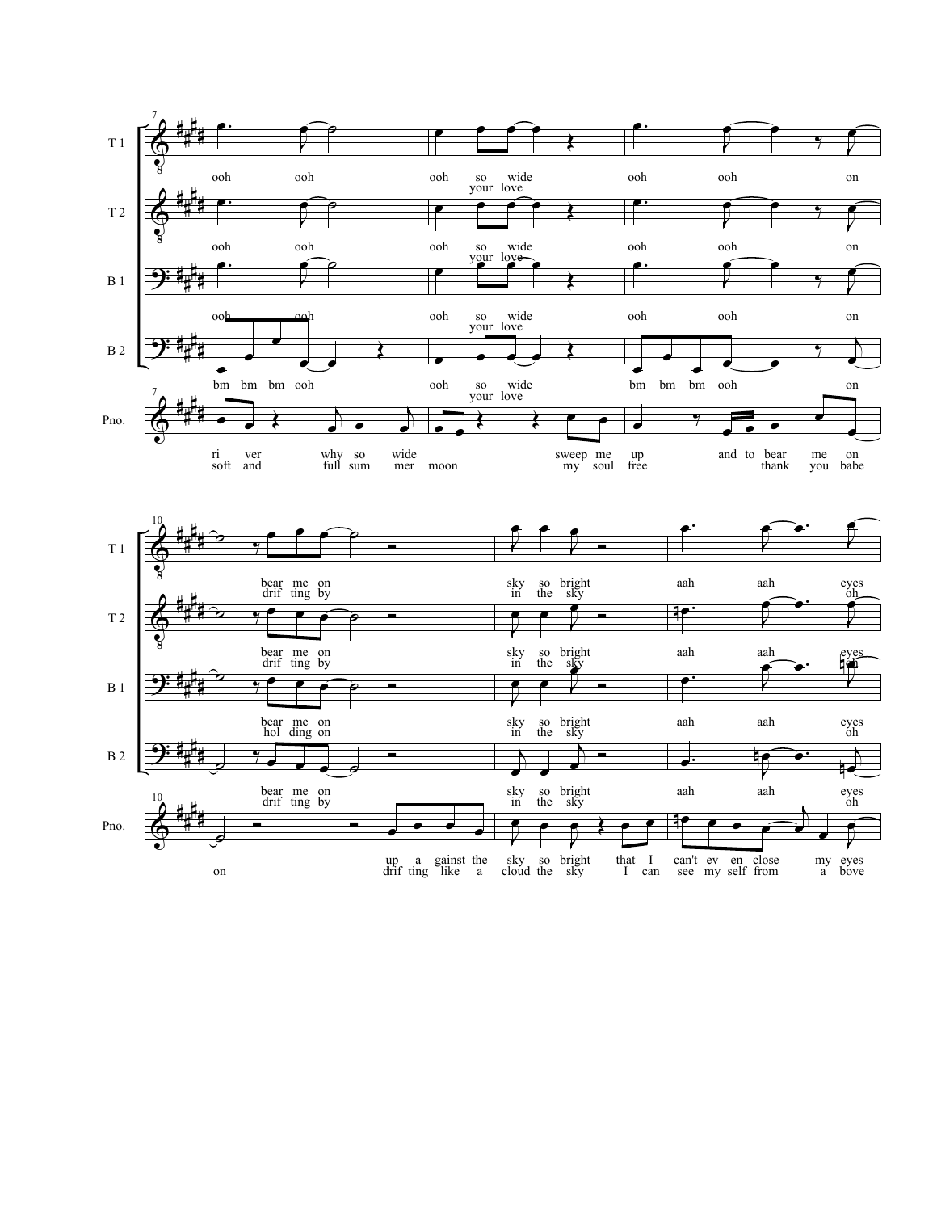

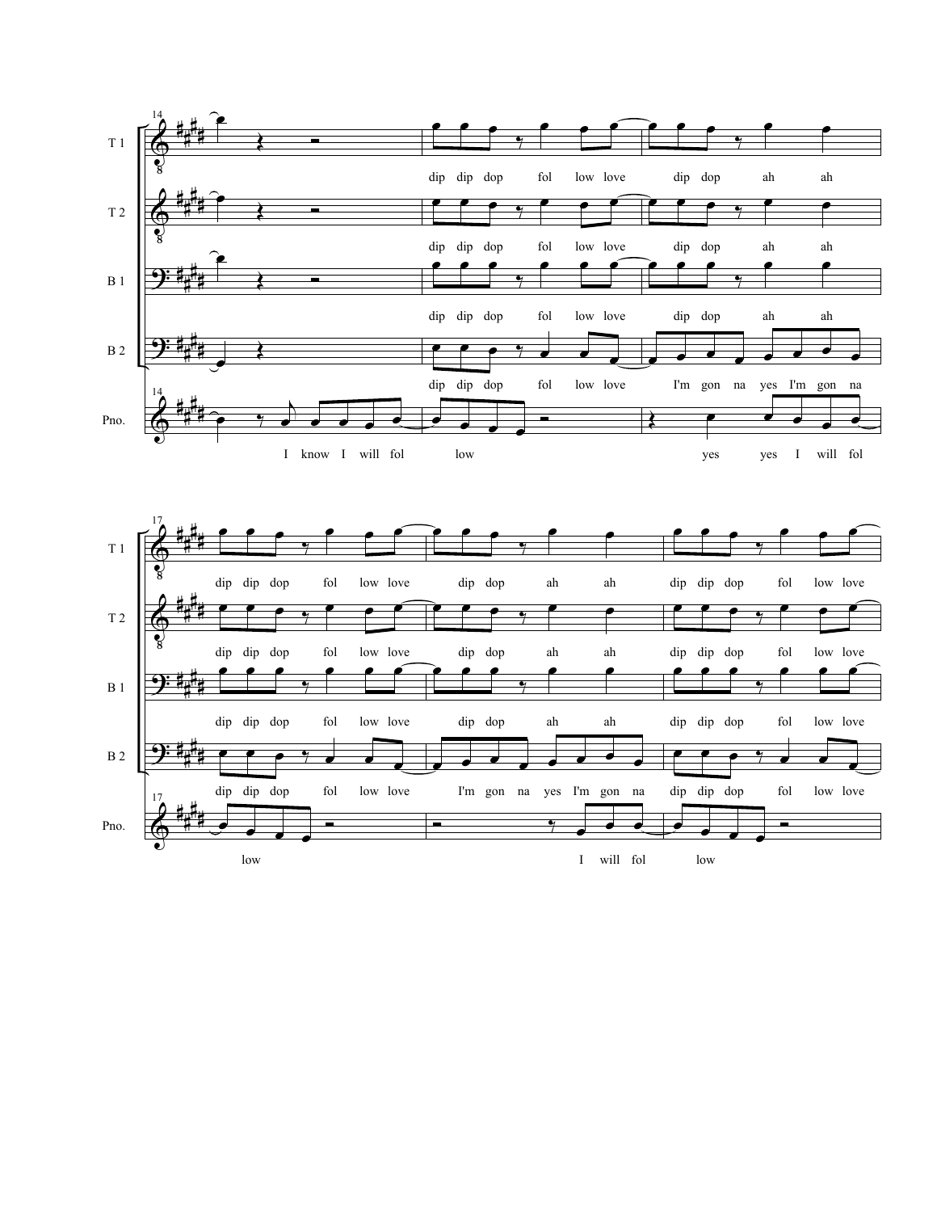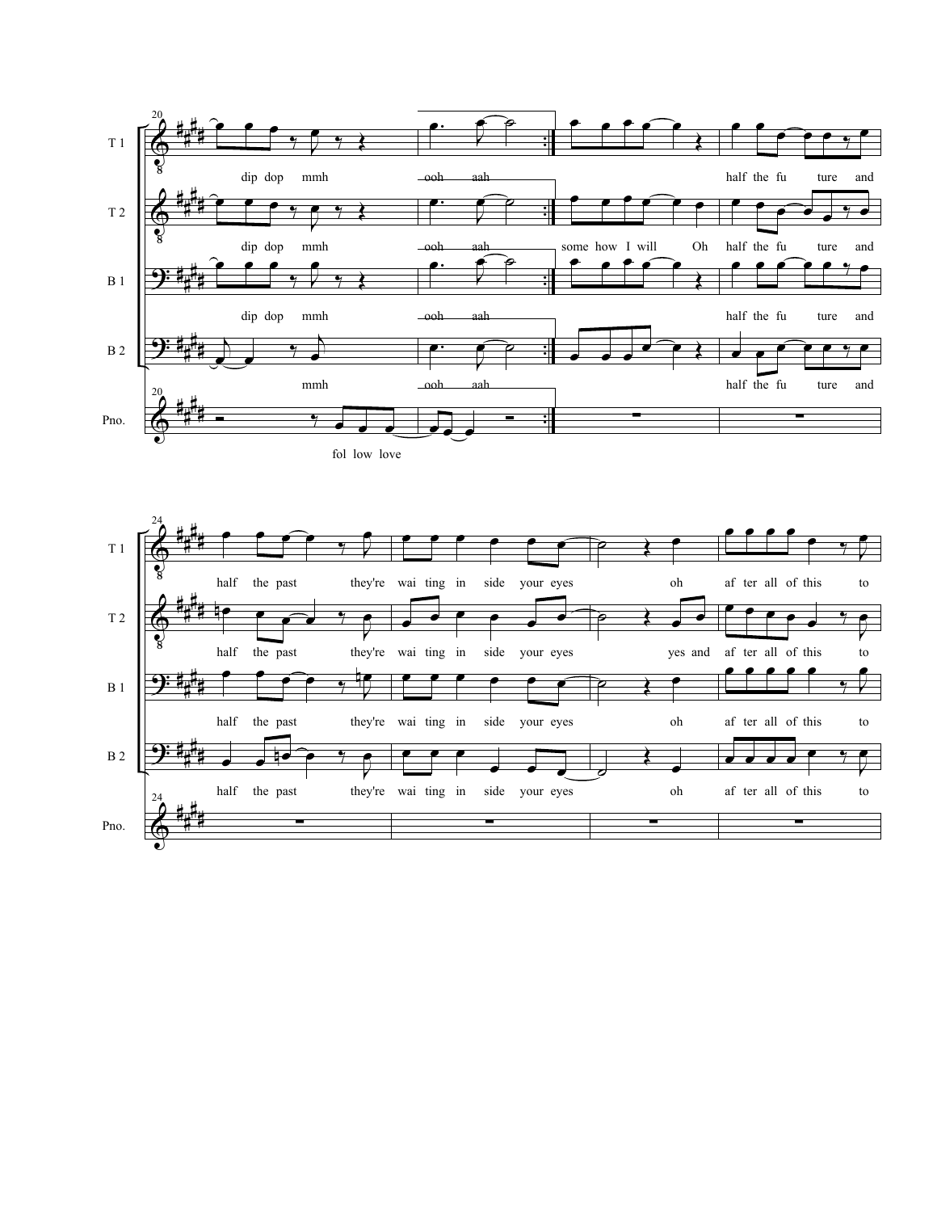

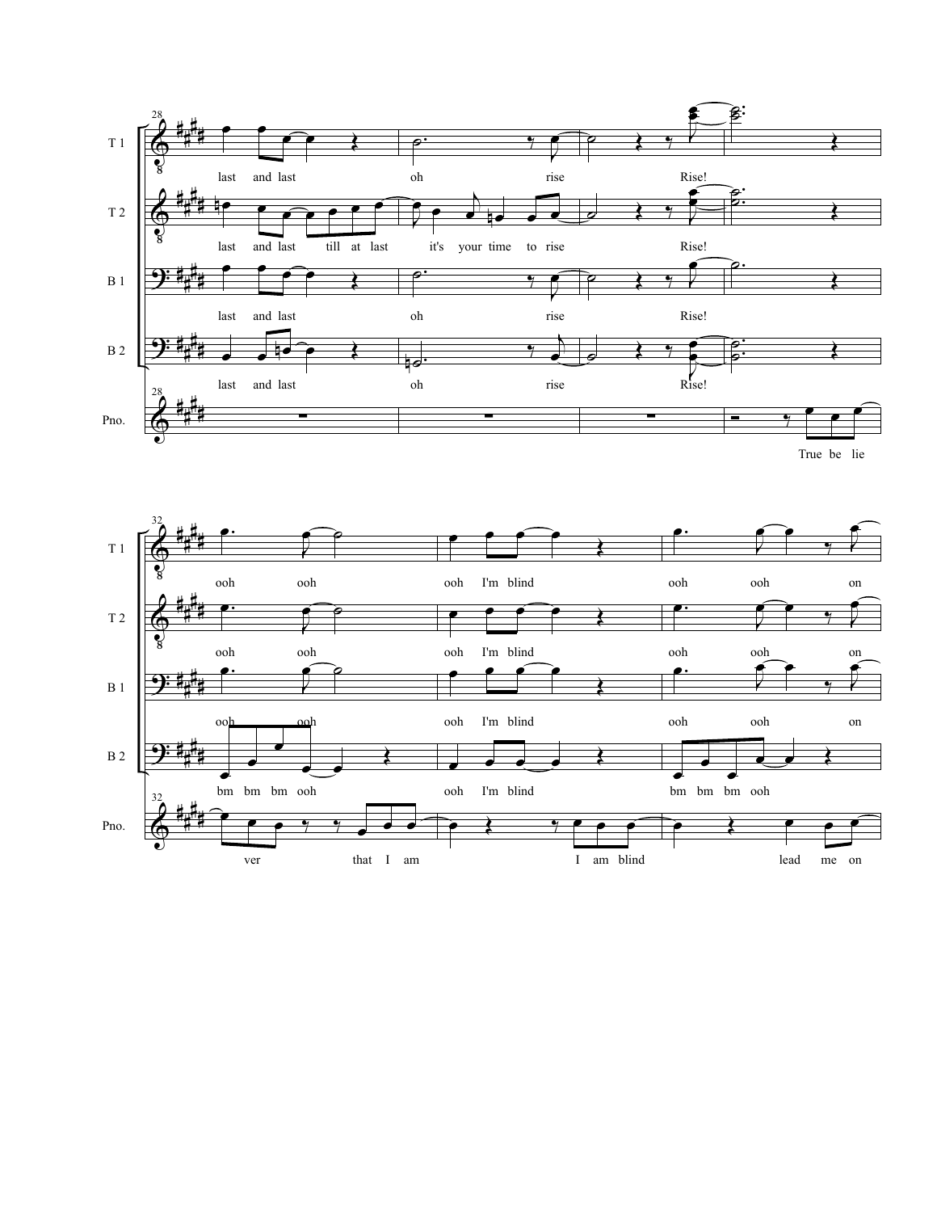

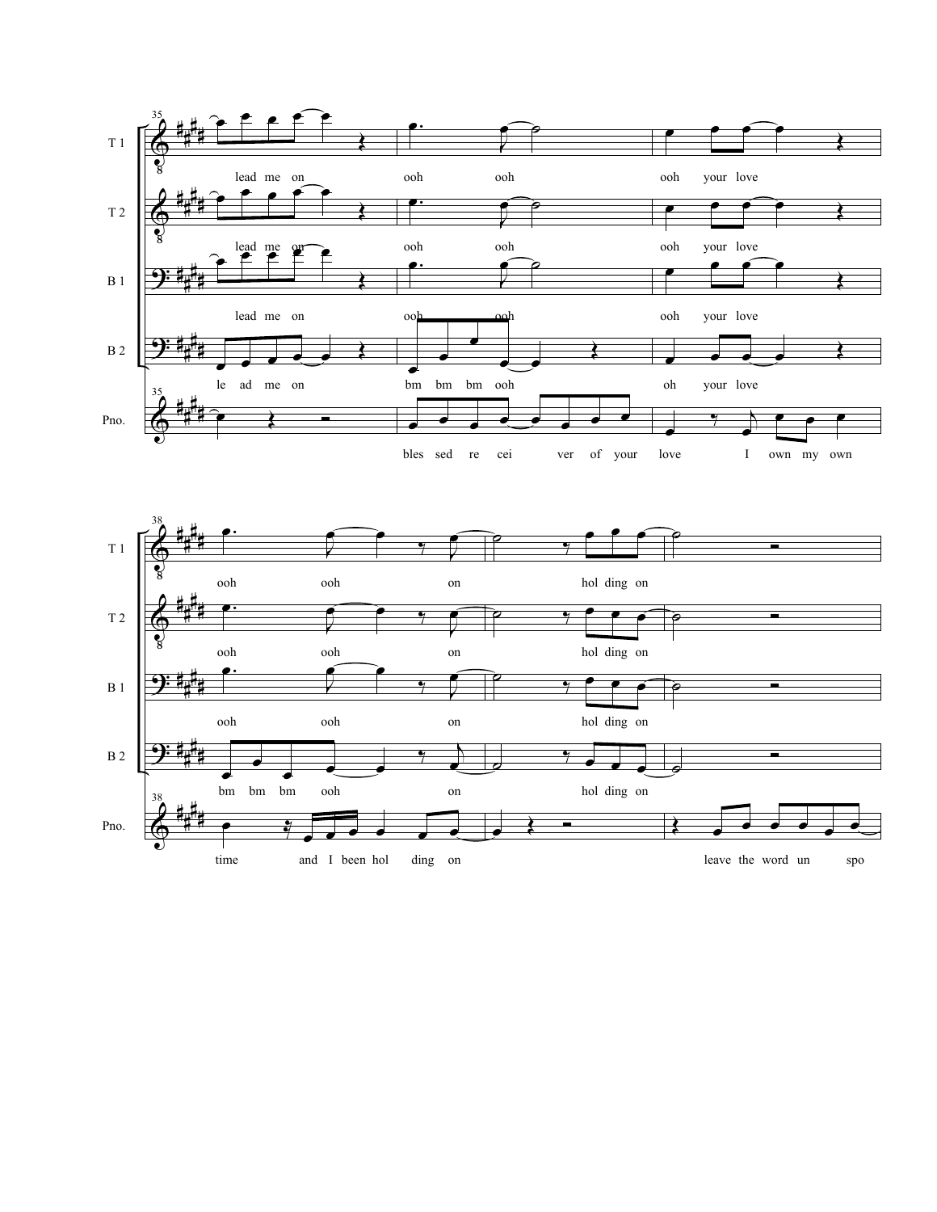